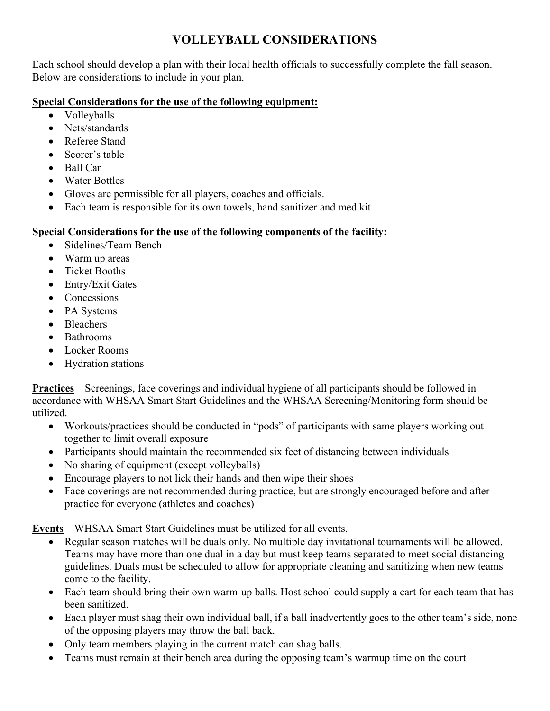## **VOLLEYBALL CONSIDERATIONS**

Each school should develop a plan with their local health officials to successfully complete the fall season. Below are considerations to include in your plan.

## **Special Considerations for the use of the following equipment:**

- Volleyballs
- Nets/standards
- Referee Stand
- Scorer's table
- Ball Car
- Water Bottles
- Gloves are permissible for all players, coaches and officials.
- Each team is responsible for its own towels, hand sanitizer and med kit

## **Special Considerations for the use of the following components of the facility:**

- Sidelines/Team Bench
- Warm up areas
- Ticket Booths
- Entry/Exit Gates
- Concessions
- PA Systems
- Bleachers
- Bathrooms
- Locker Rooms
- Hydration stations

**Practices** – Screenings, face coverings and individual hygiene of all participants should be followed in accordance with WHSAA Smart Start Guidelines and the WHSAA Screening/Monitoring form should be utilized.

- Workouts/practices should be conducted in "pods" of participants with same players working out together to limit overall exposure
- Participants should maintain the recommended six feet of distancing between individuals
- No sharing of equipment (except volleyballs)
- Encourage players to not lick their hands and then wipe their shoes
- Face coverings are not recommended during practice, but are strongly encouraged before and after practice for everyone (athletes and coaches)

**Events** – WHSAA Smart Start Guidelines must be utilized for all events.

- Regular season matches will be duals only. No multiple day invitational tournaments will be allowed. Teams may have more than one dual in a day but must keep teams separated to meet social distancing guidelines. Duals must be scheduled to allow for appropriate cleaning and sanitizing when new teams come to the facility.
- Each team should bring their own warm-up balls. Host school could supply a cart for each team that has been sanitized.
- Each player must shag their own individual ball, if a ball inadvertently goes to the other team's side, none of the opposing players may throw the ball back.
- Only team members playing in the current match can shag balls.
- Teams must remain at their bench area during the opposing team's warmup time on the court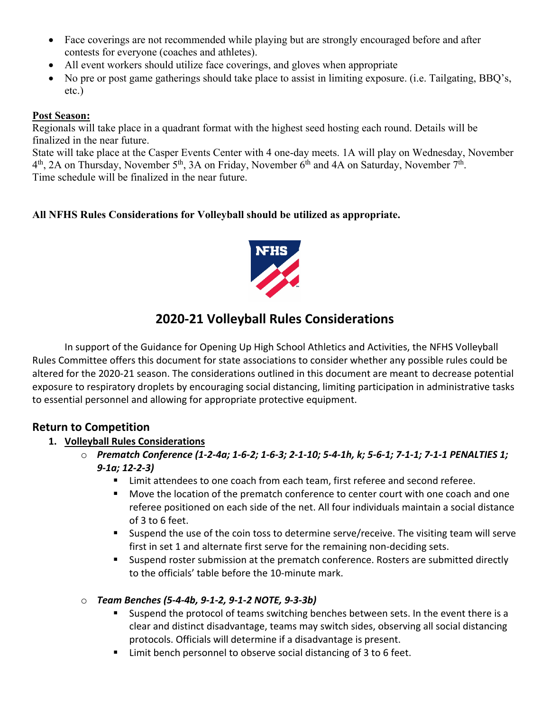- Face coverings are not recommended while playing but are strongly encouraged before and after contests for everyone (coaches and athletes).
- All event workers should utilize face coverings, and gloves when appropriate
- No pre or post game gatherings should take place to assist in limiting exposure. (i.e. Tailgating, BBQ's, etc.)

#### **Post Season:**

Regionals will take place in a quadrant format with the highest seed hosting each round. Details will be finalized in the near future.

State will take place at the Casper Events Center with 4 one-day meets. 1A will play on Wednesday, November 4<sup>th</sup>, 2A on Thursday, November 5<sup>th</sup>, 3A on Friday, November 6<sup>th</sup> and 4A on Saturday, November 7<sup>th</sup>. Time schedule will be finalized in the near future.

## **All NFHS Rules Considerations for Volleyball should be utilized as appropriate.**



# **2020-21 Volleyball Rules Considerations**

In support of the Guidance for Opening Up High School Athletics and Activities, the NFHS Volleyball Rules Committee offers this document for state associations to consider whether any possible rules could be altered for the 2020-21 season. The considerations outlined in this document are meant to decrease potential exposure to respiratory droplets by encouraging social distancing, limiting participation in administrative tasks to essential personnel and allowing for appropriate protective equipment.

## **Return to Competition**

#### **1. Volleyball Rules Considerations**

- o *Prematch Conference (1-2-4a; 1-6-2; 1-6-3; 2-1-10; 5-4-1h, k; 5-6-1; 7-1-1; 7-1-1 PENALTIES 1; 9-1a; 12-2-3)* 
	- Limit attendees to one coach from each team, first referee and second referee.
	- **Move the location of the prematch conference to center court with one coach and one** referee positioned on each side of the net. All four individuals maintain a social distance of 3 to 6 feet.
	- Suspend the use of the coin toss to determine serve/receive. The visiting team will serve first in set 1 and alternate first serve for the remaining non-deciding sets.
	- Suspend roster submission at the prematch conference. Rosters are submitted directly to the officials' table before the 10-minute mark.

#### o *Team Benches (5-4-4b, 9-1-2, 9-1-2 NOTE, 9-3-3b)*

- **Suspend the protocol of teams switching benches between sets. In the event there is a** clear and distinct disadvantage, teams may switch sides, observing all social distancing protocols. Officials will determine if a disadvantage is present.
- Limit bench personnel to observe social distancing of 3 to 6 feet.